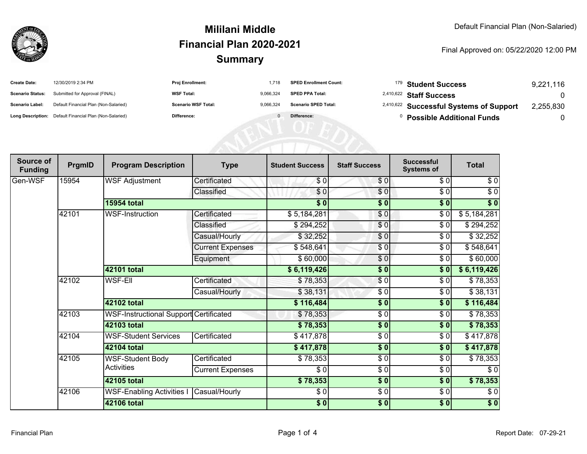

## **SummaryMililani MiddleFinancial Plan 2020-2021**

Final Approved on: 05/22/2020 12:00 PM

| <b>Create Date:</b>     | 12/30/2019 2:34 PM                                      | Proj Enrollment:           | 1.718     | <b>SPED Enrollment Count:</b> | <sup>179</sup> Student Success                     | 9,221,116 |
|-------------------------|---------------------------------------------------------|----------------------------|-----------|-------------------------------|----------------------------------------------------|-----------|
| <b>Scenario Status:</b> | Submitted for Approval (FINAL)                          | <b>WSF Total:</b>          | 9,066,324 | <b>SPED PPA Total:</b>        | <sup>2,410,622</sup> Staff Success                 |           |
| Scenario Label:         | Default Financial Plan (Non-Salaried)                   | <b>Scenario WSF Total:</b> | 9,066,324 | <b>Scenario SPED Total:</b>   | <sup>2,410,622</sup> Successful Systems of Support | 2,255,830 |
|                         | Long Description: Default Financial Plan (Non-Salaried) | Difference:                |           | Difference:                   | <b>Possible Additional Funds</b>                   |           |
|                         |                                                         |                            |           |                               |                                                    |           |
|                         |                                                         |                            |           |                               |                                                    |           |
|                         |                                                         |                            |           |                               |                                                    |           |

| Source of<br><b>Funding</b> | PrgmID | <b>Program Description</b>                    | <b>Type</b>             | <b>Student Success</b> | <b>Staff Success</b> | <b>Successful</b><br><b>Systems of</b> | <b>Total</b> |
|-----------------------------|--------|-----------------------------------------------|-------------------------|------------------------|----------------------|----------------------------------------|--------------|
| Gen-WSF                     | 15954  | <b>WSF Adjustment</b>                         | Certificated            | \$0                    | \$0                  | \$0                                    | \$0          |
|                             |        |                                               | Classified              | \$0                    | $\overline{\$0}$     | \$0                                    | $\sqrt{6}$   |
|                             |        | <b>15954 total</b>                            |                         | $\frac{1}{2}$          | \$0                  | $\overline{\$0}$                       | \$0          |
|                             | 42101  | <b>WSF-Instruction</b>                        | Certificated            | \$5,184,281            | \$0                  | $\frac{6}{6}$                          | \$5,184,281  |
|                             |        |                                               | Classified              | \$294,252              | \$0                  | $\frac{3}{6}$                          | \$294,252    |
|                             |        |                                               | Casual/Hourly           | \$32,252               | $\frac{6}{6}$        | \$0                                    | \$32,252     |
|                             |        |                                               | <b>Current Expenses</b> | \$548,641              | \$0                  | \$0                                    | \$548,641    |
|                             |        |                                               | Equipment               | \$60,000               | $\sqrt{6}$           | \$0                                    | \$60,000     |
|                             |        | 42101 total                                   |                         | \$6,119,426            | $\frac{1}{2}$        | \$0                                    | \$6,119,426  |
|                             | 42102  | <b>WSF-Ell</b>                                | Certificated            | \$78,353               | $\sqrt{6}$           | \$0                                    | \$78,353     |
|                             |        |                                               | Casual/Hourly           | \$38,131               | \$0                  | \$0                                    | \$38,131     |
|                             |        | 42102 total                                   |                         | \$116,484              | \$0                  | \$0                                    | \$116,484    |
|                             | 42103  | <b>WSF-Instructional Support Certificated</b> |                         | \$78,353               | $\sqrt{6}$           | $\frac{6}{6}$                          | \$78,353     |
|                             |        | 42103 total                                   |                         | \$78,353               | $\frac{1}{2}$        | \$0                                    | \$78,353     |
|                             | 42104  | <b>WSF-Student Services</b>                   | Certificated            | \$417,878              | \$0                  | \$0                                    | \$417,878    |
|                             |        | 42104 total                                   |                         | \$417,878              | \$0                  | \$0                                    | \$417,878    |
|                             | 42105  | <b>WSF-Student Body</b><br><b>Activities</b>  | Certificated            | \$78,353               | $\frac{6}{6}$        | $\sqrt{6}$                             | \$78,353     |
|                             |        |                                               | <b>Current Expenses</b> | \$0                    | $\frac{6}{6}$        | $\frac{3}{6}$                          | $\sqrt{6}$   |
|                             |        | 42105 total                                   |                         | \$78,353               | \$0                  | \$0                                    | \$78,353     |
|                             | 42106  | <b>WSF-Enabling Activities I</b>              | Casual/Hourly           | \$0                    | \$0                  | \$0                                    | \$0          |
|                             |        | <b>42106 total</b>                            |                         | \$0]                   | $\frac{1}{2}$        | \$0                                    | \$0          |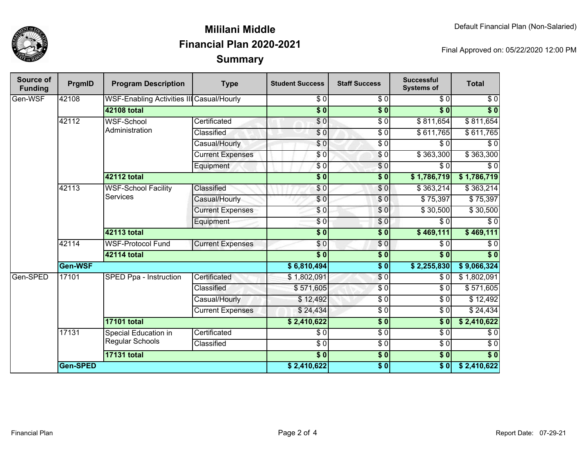

## **SummaryMililani MiddleFinancial Plan 2020-2021**

Final Approved on: 05/22/2020 12:00 PM

| Source of<br><b>Funding</b> | PrgmID          | <b>Program Description</b>                    | <b>Type</b>             | <b>Student Success</b> | <b>Staff Success</b>      | <b>Successful</b><br><b>Systems of</b> | <b>Total</b>     |
|-----------------------------|-----------------|-----------------------------------------------|-------------------------|------------------------|---------------------------|----------------------------------------|------------------|
| Gen-WSF                     | 42108           | WSF-Enabling Activities III Casual/Hourly     |                         | \$0                    | \$0                       | \$0                                    | \$0              |
|                             |                 | 42108 total                                   |                         | $\overline{\$0}$       | $\overline{\$0}$          | $\overline{\$0}$                       | $\overline{\$0}$ |
|                             | 42112           | <b>WSF-School</b><br>Administration           | Certificated            | \$0                    | $\sqrt{50}$               | \$811,654                              | \$811,654        |
|                             |                 |                                               | Classified              | \$0                    | $\sqrt{6}$                | \$611,765                              | \$611,765        |
|                             |                 |                                               | Casual/Hourly           | $\frac{6}{3}$          | $\overline{\$0}$          | \$0                                    | $\overline{\$0}$ |
|                             |                 |                                               | <b>Current Expenses</b> | \$0                    | $\sqrt{6}$                | \$363,300                              | \$363,300        |
|                             |                 |                                               | Equipment               | $\frac{3}{2}$          | \$0                       | $\overline{\$0}$                       | $\overline{\$0}$ |
|                             |                 | 42112 total                                   |                         | $\overline{\$0}$       | $\overline{\$0}$          | \$1,786,719                            | \$1,786,719      |
|                             | 42113           | <b>WSF-School Facility</b><br><b>Services</b> | Classified              | \$0                    | \$0                       | \$363,214                              | \$363,214        |
|                             |                 |                                               | Casual/Hourly           | $\frac{6}{3}$          | \$0                       | \$75,397                               | \$75,397         |
|                             |                 |                                               | <b>Current Expenses</b> | \$0                    | \$0                       | \$30,500                               | \$30,500         |
|                             |                 |                                               | Equipment               | $\sqrt{6}$             | \$0                       | $\sqrt{3}0$                            | $\overline{\$0}$ |
|                             |                 | 42113 total                                   |                         | $\overline{\$0}$       | $\overline{\textbf{S}^0}$ | \$469,111                              | \$469,111        |
|                             | 42114           | <b>WSF-Protocol Fund</b>                      | <b>Current Expenses</b> | \$0                    | $\sqrt{6}$                | $\sqrt{6}$                             | $\overline{\$0}$ |
|                             |                 | <b>42114 total</b>                            |                         | $\overline{\$0}$       | $\overline{\$0}$          | $\overline{\$0}$                       | $\overline{\$0}$ |
|                             | Gen-WSF         |                                               | \$6,810,494             | $\overline{\bullet}$   | \$2,255,830               | \$9,066,324                            |                  |
| Gen-SPED                    | 17101           | <b>SPED Ppa - Instruction</b>                 | Certificated            | \$1,802,091            | \$0                       | $\sqrt{3}0$                            | \$1,802,091      |
|                             |                 |                                               | Classified              | \$571,605              | $\sqrt{6}$                | $\overline{\$0}$                       | \$571,605        |
|                             |                 |                                               | Casual/Hourly           | \$12,492               | $\sqrt{6}$                | $\overline{\$0}$                       | \$12,492         |
|                             |                 |                                               | <b>Current Expenses</b> | \$24,434               | $\sqrt{6}$                | $\sqrt{6}$                             | \$24,434         |
|                             |                 | <b>17101 total</b>                            |                         | \$2,410,622            | $\overline{\$0}$          | $\overline{\$0}$                       | \$2,410,622      |
|                             | 17131           | Special Education in                          | Certificated            | \$0                    | $\overline{\$0}$          | $\overline{30}$                        | $\overline{\$0}$ |
|                             |                 | <b>Regular Schools</b>                        | Classified              | $\frac{3}{6}$          | $\sqrt{6}$                | $\sqrt{6}$                             | $\overline{\$0}$ |
|                             |                 | <b>17131 total</b>                            |                         | $\overline{\$0}$       | $\overline{\$0}$          | $\overline{\$0}$                       | $\overline{\$0}$ |
|                             | <b>Gen-SPED</b> |                                               |                         | \$2,410,622            | $\overline{\$0}$          | $\overline{\$0}$                       | \$2,410,622      |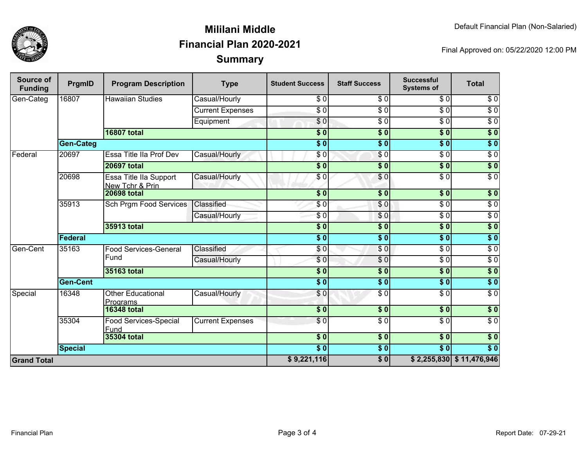

## **SummaryMililani MiddleFinancial Plan 2020-2021**

Final Approved on: 05/22/2020 12:00 PM

| <b>Source of</b><br><b>Funding</b> | PrgmID           | <b>Program Description</b>                | <b>Type</b>             | <b>Student Success</b>    | <b>Staff Success</b>   | <b>Successful</b><br><b>Systems of</b> | <b>Total</b>               |
|------------------------------------|------------------|-------------------------------------------|-------------------------|---------------------------|------------------------|----------------------------------------|----------------------------|
| Gen-Categ                          | 16807            | <b>Hawaiian Studies</b>                   | Casual/Hourly           | \$0                       | \$0                    | \$0                                    | \$0                        |
|                                    |                  |                                           | <b>Current Expenses</b> | $\overline{\$0}$          | $\overline{\$0}$       | $\overline{\$0}$                       | $\overline{\$0}$           |
|                                    |                  |                                           | Equipment               | $\frac{6}{6}$             | $\sqrt{6}$             | $\sqrt{6}$                             | $\sqrt{6}$                 |
|                                    |                  | <b>16807 total</b>                        |                         | $\overline{\$0}$          | $\overline{\$0}$       | $\overline{\$0}$                       | $\overline{\$}0$           |
|                                    | <b>Gen-Categ</b> |                                           |                         | $\overline{\$0}$          | $\overline{\$0}$       | $\overline{\$0}$                       | $\overline{\$0}$           |
| Federal                            | 20697            | Essa Title IIa Prof Dev                   | Casual/Hourly           | \$0                       | $\sqrt{6}$             | $\sqrt{6}$                             | $\sqrt{6}$                 |
|                                    |                  | <b>20697 total</b>                        |                         | $\overline{\$0}$          | $\overline{\$0}$       | $\overline{\$}0$                       | $\sqrt{50}$                |
|                                    | 20698            | Essa Title IIa Support<br>New Tchr & Prin | Casual/Hourly           | \$0                       | $\overline{\$0}$       | $\overline{\$0}$                       | $\overline{\$0}$           |
|                                    |                  | <b>20698 total</b>                        |                         | \$0                       | $\overline{\$0}$       | $\overline{\$0}$                       | \$0                        |
|                                    | 35913            | <b>Sch Prgm Food Services</b>             | Classified              | \$0                       | $\overline{\$0}$       | $\overline{\$0}$                       | $\sqrt{6}$                 |
|                                    |                  |                                           | Casual/Hourly           | \$0                       | \$0                    | $\overline{\$0}$                       | $\overline{\$0}$           |
|                                    |                  | 35913 total                               |                         | $\overline{\$0}$          | $\overline{\$0}$       | $\overline{\$0}$                       | $\overline{\$}0$           |
|                                    | Federal          |                                           |                         | $\overline{\$0}$          | $\overline{\$0}$       | $\overline{\$0}$                       | $\sqrt{ }$                 |
| Gen-Cent                           | 35163            | <b>Food Services-General</b>              | Classified              | \$0                       | $\sqrt{0}$             | $\overline{\$0}$                       | $\overline{\$0}$           |
|                                    |                  | Fund                                      | Casual/Hourly           | $\overline{\$0}$          | $\overline{\$0}$       | $\overline{\$0}$                       | $\overline{\$0}$           |
|                                    |                  | 35163 total                               |                         | $\overline{\$}0$          | $\overline{\$}0$       | $\overline{\$0}$                       | $\sqrt{ }$                 |
|                                    | <b>Gen-Cent</b>  |                                           |                         | $\overline{\textbf{S}^0}$ | $\overline{\bullet}$ 0 | $\overline{\textbf{S}^0}$              | $\sqrt{ }$                 |
| Special                            | 16348            | <b>Other Educational</b><br>Programs      | Casual/Hourly           | \$0                       | $\overline{\$0}$       | $\overline{\$0}$                       | $\overline{\$0}$           |
|                                    |                  | <b>16348 total</b>                        |                         | $\overline{\$0}$          | \$0                    | $\sqrt{6}$                             | \$0                        |
|                                    | 35304            | Food Services-Special<br>Fund             | <b>Current Expenses</b> | \$0                       | $\overline{\$0}$       | $\overline{\$0}$                       | $\overline{\$0}$           |
|                                    | 35304 total      |                                           |                         | $\overline{\$0}$          | $\overline{\$0}$       | $\overline{\$}0$                       | $\sqrt{50}$                |
|                                    | <b>Special</b>   |                                           |                         | $\overline{\$0}$          | \$0                    | $\overline{\$0}$                       | $\overline{\$0}$           |
| <b>Grand Total</b>                 |                  |                                           |                         |                           | $\overline{\bullet}$ 0 |                                        | $$2,255,830$ $$11,476,946$ |